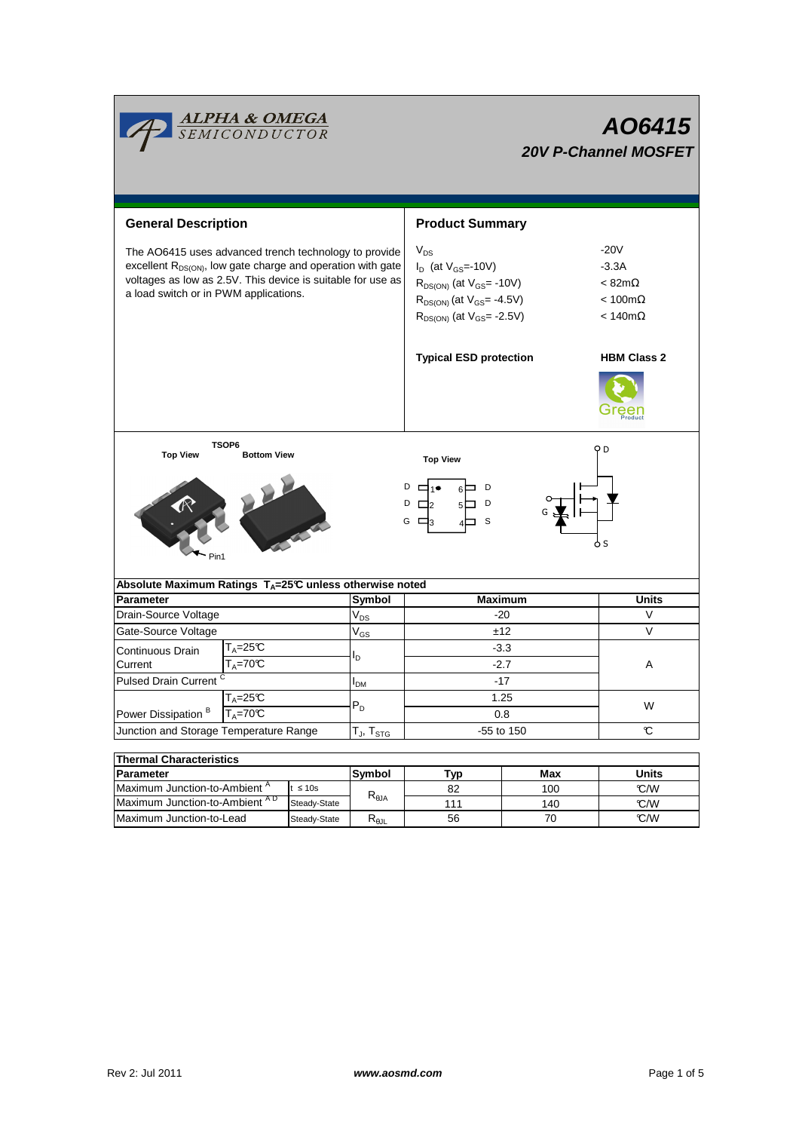| <mark>ALPHA &amp; OMEGA</mark><br>SEMICONDUCTOR                                                                                                                                                                                          |                              |                                                      | AO6415<br><b>20V P-Channel MOSFET</b>                                                                                                                  |                                                                                              |                    |  |  |  |  |
|------------------------------------------------------------------------------------------------------------------------------------------------------------------------------------------------------------------------------------------|------------------------------|------------------------------------------------------|--------------------------------------------------------------------------------------------------------------------------------------------------------|----------------------------------------------------------------------------------------------|--------------------|--|--|--|--|
| <b>General Description</b>                                                                                                                                                                                                               |                              |                                                      | <b>Product Summary</b>                                                                                                                                 |                                                                                              |                    |  |  |  |  |
| The AO6415 uses advanced trench technology to provide<br>excellent R <sub>DS(ON)</sub> , low gate charge and operation with gate<br>voltages as low as 2.5V. This device is suitable for use as<br>a load switch or in PWM applications. |                              |                                                      | $V_{DS}$<br>$I_D$ (at $V_{GS}$ =-10V)<br>$R_{DS(ON)}$ (at $V_{GS}$ = -10V)<br>$R_{DS(ON)}$ (at $V_{GS}$ = -4.5V)<br>$R_{DS(ON)}$ (at $V_{GS}$ = -2.5V) | $-20V$<br>-3.3A<br>$< 82 \text{m}\Omega$<br>$< 100 \text{m}\Omega$<br>$< 140 \text{m}\Omega$ |                    |  |  |  |  |
|                                                                                                                                                                                                                                          |                              |                                                      | <b>Typical ESD protection</b>                                                                                                                          |                                                                                              | <b>HBM Class 2</b> |  |  |  |  |
| TSOP6<br><b>Top View</b><br><b>Bottom View</b><br>Pin1                                                                                                                                                                                   |                              |                                                      | <b>Top View</b><br>$D \Box_1 \bullet$<br>6⊟ D<br>$D \Box$ 2<br>D<br>$5\Box$<br>G □a<br>S                                                               |                                                                                              | ОD<br>o s          |  |  |  |  |
| Absolute Maximum Ratings T <sub>A</sub> =25℃ unless otherwise noted                                                                                                                                                                      |                              |                                                      |                                                                                                                                                        |                                                                                              |                    |  |  |  |  |
| <b>Parameter</b>                                                                                                                                                                                                                         |                              | Symbol                                               | <b>Maximum</b>                                                                                                                                         |                                                                                              | Units              |  |  |  |  |
| Drain-Source Voltage                                                                                                                                                                                                                     |                              | $\mathsf{V}_{\mathsf{DS}}$                           | -20                                                                                                                                                    |                                                                                              | V                  |  |  |  |  |
| Gate-Source Voltage                                                                                                                                                                                                                      |                              | $\rm V_{GS}$                                         | ±12                                                                                                                                                    |                                                                                              | V                  |  |  |  |  |
| $T_A = 25C$<br>Continuous Drain<br>$T_A = 70^\circ C$<br>Current                                                                                                                                                                         |                              | l <sub>D</sub>                                       | $-3.3$                                                                                                                                                 |                                                                                              | Α                  |  |  |  |  |
|                                                                                                                                                                                                                                          |                              |                                                      | $-2.7$                                                                                                                                                 |                                                                                              |                    |  |  |  |  |
| Pulsed Drain Current <sup>C</sup>                                                                                                                                                                                                        |                              | I <sub>DМ</sub>                                      | $-17$                                                                                                                                                  |                                                                                              |                    |  |  |  |  |
| $T_A = 25C$                                                                                                                                                                                                                              |                              | $P_D$                                                | 1.25                                                                                                                                                   |                                                                                              | W                  |  |  |  |  |
| Power Dissipation <sup>B</sup><br>$T_A = 70^\circ C$                                                                                                                                                                                     |                              |                                                      | 0.8                                                                                                                                                    |                                                                                              |                    |  |  |  |  |
| Junction and Storage Temperature Range                                                                                                                                                                                                   |                              | $\mathsf{T}_{\mathsf{J}}, \mathsf{T}_{\textsf{STG}}$ | -55 to 150<br>C                                                                                                                                        |                                                                                              |                    |  |  |  |  |
|                                                                                                                                                                                                                                          |                              |                                                      |                                                                                                                                                        |                                                                                              |                    |  |  |  |  |
| <b>Thermal Characteristics</b>                                                                                                                                                                                                           |                              |                                                      |                                                                                                                                                        |                                                                                              |                    |  |  |  |  |
|                                                                                                                                                                                                                                          |                              |                                                      |                                                                                                                                                        |                                                                                              |                    |  |  |  |  |
| Parameter                                                                                                                                                                                                                                |                              | Symbol                                               | <b>Typ</b>                                                                                                                                             | Max                                                                                          | <b>Units</b>       |  |  |  |  |
| Maximum Junction-to-Ambient A<br>Maximum Junction-to-Ambient AD                                                                                                                                                                          | $t \leq 10s$<br>Steady-State | $\mathsf{R}_{\theta\mathsf{JA}}$                     | 82<br>111                                                                                                                                              | 100<br>140                                                                                   | C/W<br>C/W         |  |  |  |  |

Г

<u> Tanzania (h. 1878).</u>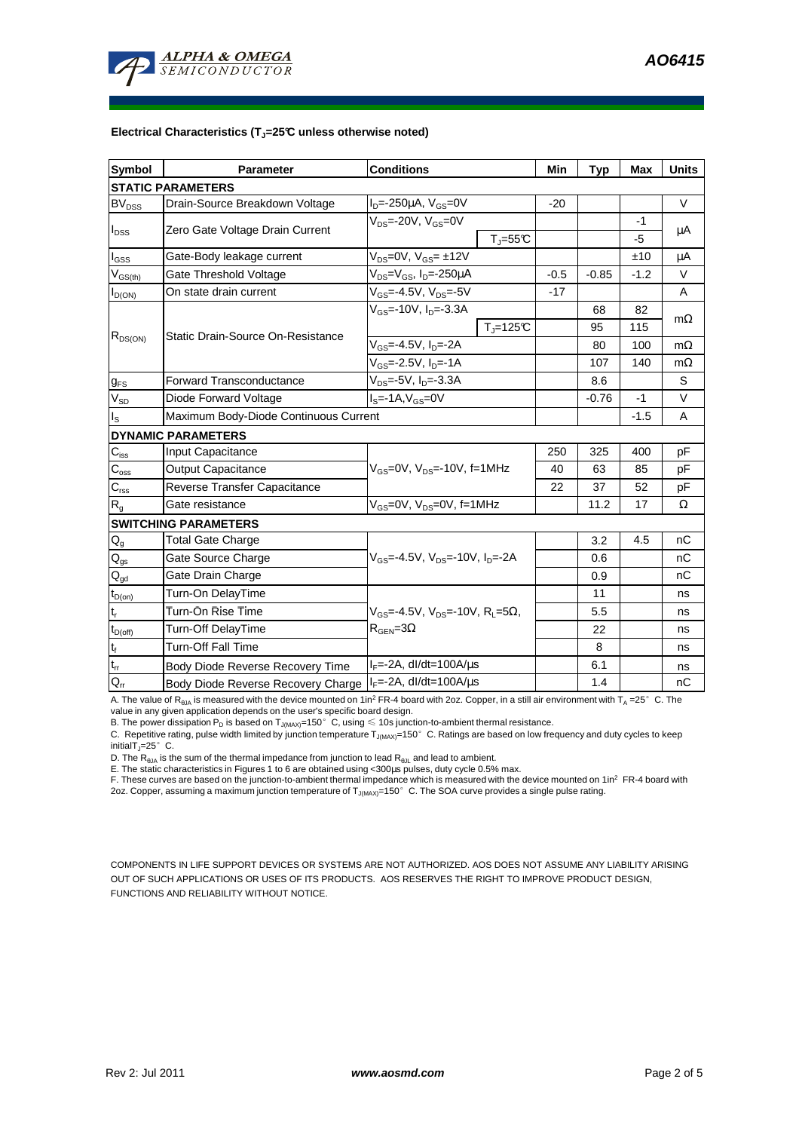

## **Electrical Characteristics (TJ=25°C unless otherwise noted)**

| Symbol                     | <b>Parameter</b>                      | <b>Conditions</b>                                                                           |                       | Min    | <b>Typ</b> | Max    | <b>Units</b> |  |  |  |  |
|----------------------------|---------------------------------------|---------------------------------------------------------------------------------------------|-----------------------|--------|------------|--------|--------------|--|--|--|--|
| <b>STATIC PARAMETERS</b>   |                                       |                                                                                             |                       |        |            |        |              |  |  |  |  |
| $BV_{DSS}$                 | Drain-Source Breakdown Voltage        | $I_{D} = -250 \mu A$ , $V_{GS} = 0V$                                                        |                       | $-20$  |            |        | $\vee$       |  |  |  |  |
| $I_{DSS}$                  | Zero Gate Voltage Drain Current       | $V_{DS}$ =-20V, $V_{GS}$ =0V                                                                |                       |        |            | -1     |              |  |  |  |  |
|                            |                                       |                                                                                             | $T = 55C$             |        |            | -5     | $\mu$ A      |  |  |  |  |
| $I_{\rm GSS}$              | Gate-Body leakage current             | $V_{DS} = 0V$ , $V_{GS} = \pm 12V$                                                          |                       |        |            | ±10    | μA           |  |  |  |  |
| $V_{GS(th)}$               | Gate Threshold Voltage                | $V_{DS} = V_{GS}$ , $I_D = -250 \mu A$                                                      |                       | $-0.5$ | $-0.85$    | $-1.2$ | $\vee$       |  |  |  |  |
| $I_{D(ON)}$                | On state drain current                | $V_{GS}$ =-4.5V, $V_{DS}$ =-5V                                                              |                       | $-17$  |            |        | A            |  |  |  |  |
| $R_{DS(ON)}$               | Static Drain-Source On-Resistance     | $V_{GS}$ =-10V, I <sub>D</sub> =-3.3A                                                       |                       |        | 68         | 82     | $m\Omega$    |  |  |  |  |
|                            |                                       |                                                                                             | $T_{\text{J}}$ =125°C |        | 95         | 115    |              |  |  |  |  |
|                            |                                       | $V_{GS} = -4.5V, I_D = -2A$                                                                 |                       |        | 80         | 100    | $m\Omega$    |  |  |  |  |
|                            |                                       | $V_{GS}$ =-2.5V, $I_{D}$ =-1A                                                               |                       |        | 107        | 140    | $m\Omega$    |  |  |  |  |
| $g_{FS}$                   | <b>Forward Transconductance</b>       | $V_{DS}$ =-5V, $I_{D}$ =-3.3A                                                               |                       |        | 8.6        |        | S            |  |  |  |  |
| $V_{SD}$                   | Diode Forward Voltage                 | $IS=-1A, VGS=0V$                                                                            |                       |        | $-0.76$    | $-1$   | V            |  |  |  |  |
| ıs.                        | Maximum Body-Diode Continuous Current |                                                                                             |                       |        |            | $-1.5$ | A            |  |  |  |  |
|                            | <b>DYNAMIC PARAMETERS</b>             |                                                                                             |                       |        |            |        |              |  |  |  |  |
| $C_{iss}$                  | Input Capacitance                     | $V_{GS}$ =0V, $V_{DS}$ =-10V, f=1MHz                                                        |                       | 250    | 325        | 400    | pF           |  |  |  |  |
| $C_{\rm oss}$              | <b>Output Capacitance</b>             |                                                                                             |                       | 40     | 63         | 85     | pF           |  |  |  |  |
| $C_{\rm rss}$              | Reverse Transfer Capacitance          |                                                                                             |                       | 22     | 37         | 52     | pF           |  |  |  |  |
| $R_{q}$                    | Gate resistance                       | $V_{GS}$ =0V, $V_{DS}$ =0V, f=1MHz                                                          |                       |        | 11.2       | 17     | Ω            |  |  |  |  |
|                            | <b>SWITCHING PARAMETERS</b>           |                                                                                             |                       |        |            |        |              |  |  |  |  |
| $\mathsf{Q}_{\mathsf{g}}$  | <b>Total Gate Charge</b>              | $V_{\text{GS}} = -4.5V$ , $V_{\text{DS}} = -10V$ , $I_{\text{DS}} = -2A$                    |                       |        | 3.2        | 4.5    | nC           |  |  |  |  |
| $\mathsf{Q}_{\mathsf{gs}}$ | Gate Source Charge                    |                                                                                             |                       |        | 0.6        |        | nC           |  |  |  |  |
| $\mathsf{Q}_{\mathsf{gd}}$ | Gate Drain Charge                     |                                                                                             |                       |        | 0.9        |        | nC           |  |  |  |  |
| $t_{D(on)}$                | Turn-On DelayTime                     | $V_{GS}$ =-4.5V, $V_{DS}$ =-10V, R <sub>L</sub> =5 $\Omega$ ,<br>$R_{\text{GEN}} = 3\Omega$ |                       |        | 11         |        | ns           |  |  |  |  |
| $t_r$                      | Turn-On Rise Time                     |                                                                                             |                       |        | 5.5        |        | ns           |  |  |  |  |
| $t_{D(off)}$               | <b>Turn-Off DelayTime</b>             |                                                                                             |                       |        | 22         |        | ns           |  |  |  |  |
| $t_f$                      | <b>Turn-Off Fall Time</b>             |                                                                                             |                       |        | 8          |        | ns           |  |  |  |  |
| $t_{rr}$                   | Body Diode Reverse Recovery Time      | $I_F = -2A$ , dl/dt=100A/ $\mu$ s                                                           |                       |        | 6.1        |        | ns           |  |  |  |  |
| $Q_{rr}$                   | Body Diode Reverse Recovery Charge    | $I_F$ =-2A, dl/dt=100A/ $\mu$ s                                                             |                       |        | 1.4        |        | nC           |  |  |  |  |

A. The value of  $R_{\theta_0A}$  is measured with the device mounted on 1in<sup>2</sup> FR-4 board with 2oz. Copper, in a still air environment with T<sub>A</sub> =25°C. The

value in any given application depends on the user's specific board design.<br>B. The power dissipation P<sub>D</sub> is based on T<sub>J(MAX)</sub>=150°C, using ≤ 10s junction-to-ambient thermal resistance.

C. Repetitive rating, pulse width limited by junction temperature  $T_{J(MAX)}$ =150°C. Ratings are based on low frequency and duty cycles to keep initialT $_J=25^\circ$  C.

D. The  $R_{AJA}$  is the sum of the thermal impedance from junction to lead  $R_{AJI}$  and lead to ambient.

E. The static characteristics in Figures 1 to 6 are obtained using <300us pulses, duty cycle 0.5% max.

F. These curves are based on the junction-to-ambient thermal impedance which is measured with the device mounted on 1in<sup>2</sup> FR-4 board with 2oz. Copper, assuming a maximum junction temperature of  $T_{J(MAX)}$ =150°C. The SOA curve provides a single pulse rating.

COMPONENTS IN LIFE SUPPORT DEVICES OR SYSTEMS ARE NOT AUTHORIZED. AOS DOES NOT ASSUME ANY LIABILITY ARISING OUT OF SUCH APPLICATIONS OR USES OF ITS PRODUCTS. AOS RESERVES THE RIGHT TO IMPROVE PRODUCT DESIGN, FUNCTIONS AND RELIABILITY WITHOUT NOTICE.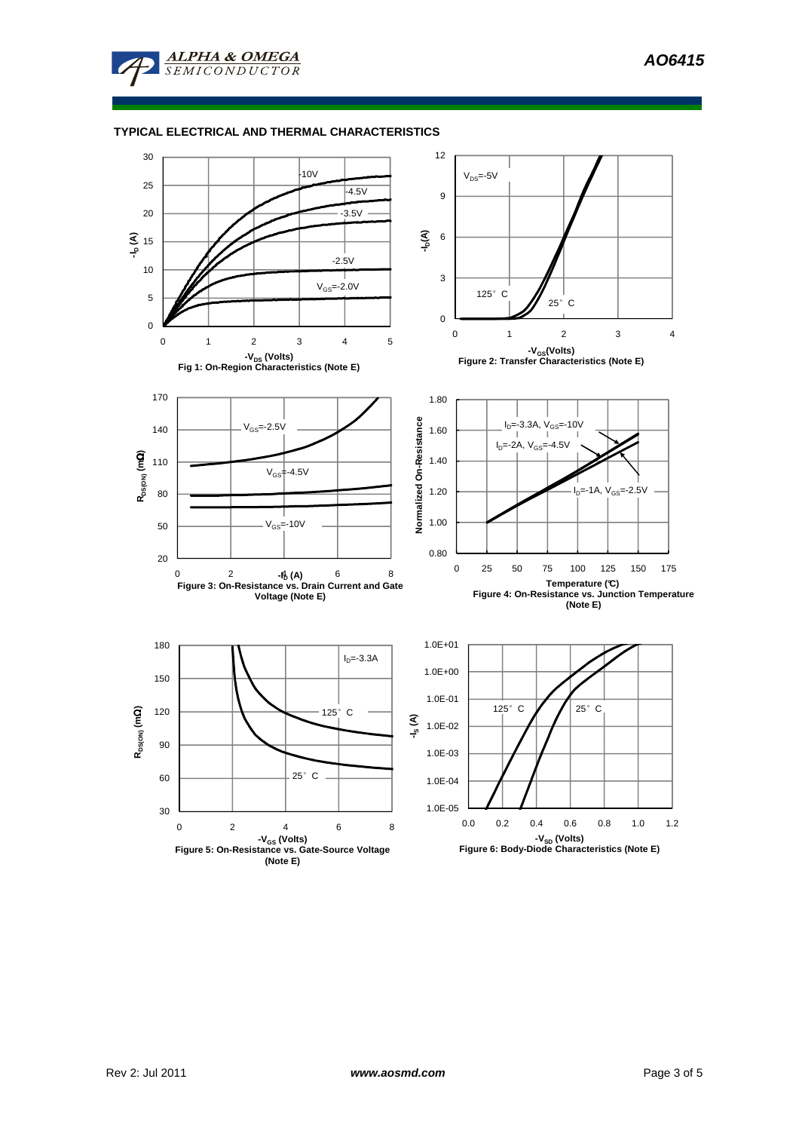**AO6415** 



**ALPHA & OMEGA** SEMICONDUCTOR

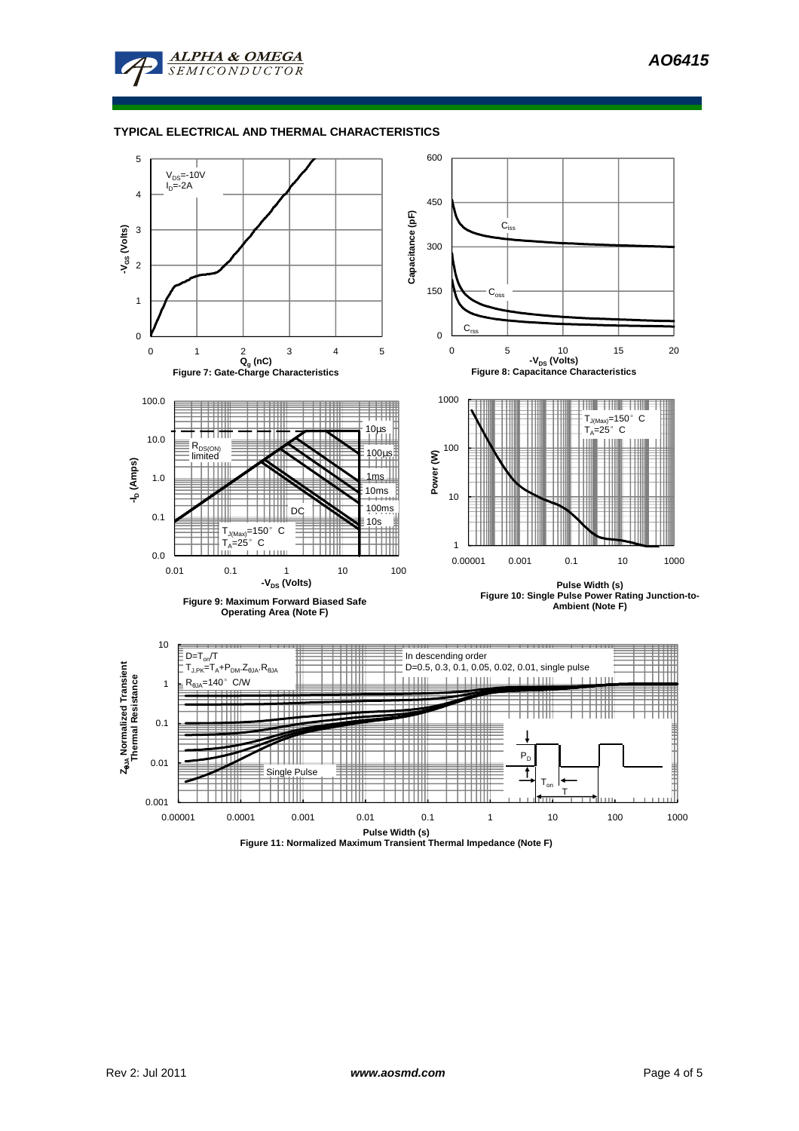**AO6415** 



**ALPHA & OMEGA**  $SFMICONDIICTOR$ 



**Figure 11: Normalized Maximum Transient Thermal Impedance (Note F)**